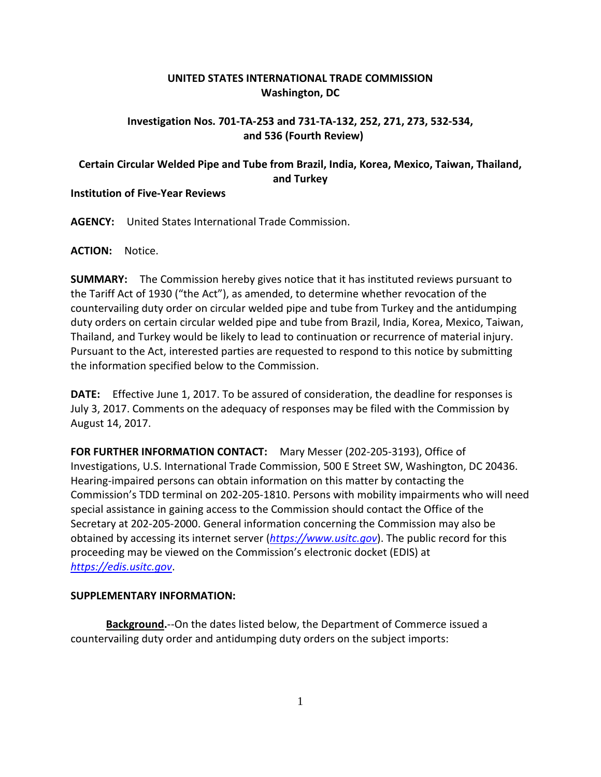## **UNITED STATES INTERNATIONAL TRADE COMMISSION Washington, DC**

## **Investigation Nos. 701-TA-253 and 731-TA-132, 252, 271, 273, 532-534, and 536 (Fourth Review)**

# **Certain Circular Welded Pipe and Tube from Brazil, India, Korea, Mexico, Taiwan, Thailand, and Turkey**

### **Institution of Five-Year Reviews**

**AGENCY:** United States International Trade Commission.

#### **ACTION:** Notice.

**SUMMARY:** The Commission hereby gives notice that it has instituted reviews pursuant to the Tariff Act of 1930 ("the Act"), as amended, to determine whether revocation of the countervailing duty order on circular welded pipe and tube from Turkey and the antidumping duty orders on certain circular welded pipe and tube from Brazil, India, Korea, Mexico, Taiwan, Thailand, and Turkey would be likely to lead to continuation or recurrence of material injury. Pursuant to the Act, interested parties are requested to respond to this notice by submitting the information specified below to the Commission.

**DATE:** Effective June 1, 2017. To be assured of consideration, the deadline for responses is July 3, 2017. Comments on the adequacy of responses may be filed with the Commission by August 14, 2017.

**FOR FURTHER INFORMATION CONTACT:** Mary Messer (202-205-3193), Office of Investigations, U.S. International Trade Commission, 500 E Street SW, Washington, DC 20436. Hearing-impaired persons can obtain information on this matter by contacting the Commission's TDD terminal on 202-205-1810. Persons with mobility impairments who will need special assistance in gaining access to the Commission should contact the Office of the Secretary at 202-205-2000. General information concerning the Commission may also be obtained by accessing its internet server (*[https://www.usitc.gov](https://www.usitc.gov/)*). The public record for this proceeding may be viewed on the Commission's electronic docket (EDIS) at *[https://edis.usitc.gov](https://edis.usitc.gov/)*.

#### **SUPPLEMENTARY INFORMATION:**

**Background.**--On the dates listed below, the Department of Commerce issued a countervailing duty order and antidumping duty orders on the subject imports: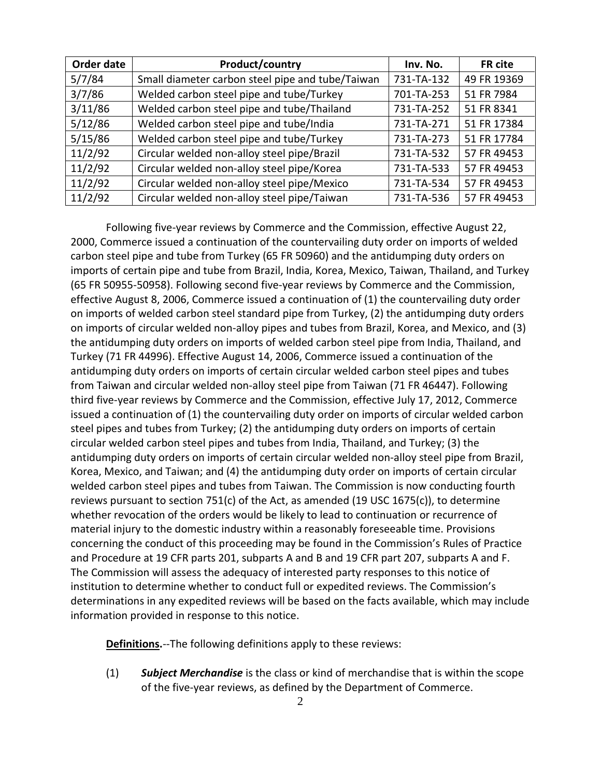| Order date | Product/country                                  | Inv. No.   | FR cite     |
|------------|--------------------------------------------------|------------|-------------|
| 5/7/84     | Small diameter carbon steel pipe and tube/Taiwan | 731-TA-132 | 49 FR 19369 |
| 3/7/86     | Welded carbon steel pipe and tube/Turkey         | 701-TA-253 | 51 FR 7984  |
| 3/11/86    | Welded carbon steel pipe and tube/Thailand       | 731-TA-252 | 51 FR 8341  |
| 5/12/86    | Welded carbon steel pipe and tube/India          | 731-TA-271 | 51 FR 17384 |
| 5/15/86    | Welded carbon steel pipe and tube/Turkey         | 731-TA-273 | 51 FR 17784 |
| 11/2/92    | Circular welded non-alloy steel pipe/Brazil      | 731-TA-532 | 57 FR 49453 |
| 11/2/92    | Circular welded non-alloy steel pipe/Korea       | 731-TA-533 | 57 FR 49453 |
| 11/2/92    | Circular welded non-alloy steel pipe/Mexico      | 731-TA-534 | 57 FR 49453 |
| 11/2/92    | Circular welded non-alloy steel pipe/Taiwan      | 731-TA-536 | 57 FR 49453 |

Following five-year reviews by Commerce and the Commission, effective August 22, 2000, Commerce issued a continuation of the countervailing duty order on imports of welded carbon steel pipe and tube from Turkey (65 FR 50960) and the antidumping duty orders on imports of certain pipe and tube from Brazil, India, Korea, Mexico, Taiwan, Thailand, and Turkey (65 FR 50955-50958). Following second five-year reviews by Commerce and the Commission, effective August 8, 2006, Commerce issued a continuation of (1) the countervailing duty order on imports of welded carbon steel standard pipe from Turkey, (2) the antidumping duty orders on imports of circular welded non-alloy pipes and tubes from Brazil, Korea, and Mexico, and (3) the antidumping duty orders on imports of welded carbon steel pipe from India, Thailand, and Turkey (71 FR 44996). Effective August 14, 2006, Commerce issued a continuation of the antidumping duty orders on imports of certain circular welded carbon steel pipes and tubes from Taiwan and circular welded non-alloy steel pipe from Taiwan (71 FR 46447). Following third five-year reviews by Commerce and the Commission, effective July 17, 2012, Commerce issued a continuation of (1) the countervailing duty order on imports of circular welded carbon steel pipes and tubes from Turkey; (2) the antidumping duty orders on imports of certain circular welded carbon steel pipes and tubes from India, Thailand, and Turkey; (3) the antidumping duty orders on imports of certain circular welded non-alloy steel pipe from Brazil, Korea, Mexico, and Taiwan; and (4) the antidumping duty order on imports of certain circular welded carbon steel pipes and tubes from Taiwan. The Commission is now conducting fourth reviews pursuant to section 751(c) of the Act, as amended (19 USC 1675(c)), to determine whether revocation of the orders would be likely to lead to continuation or recurrence of material injury to the domestic industry within a reasonably foreseeable time. Provisions concerning the conduct of this proceeding may be found in the Commission's Rules of Practice and Procedure at 19 CFR parts 201, subparts A and B and 19 CFR part 207, subparts A and F. The Commission will assess the adequacy of interested party responses to this notice of institution to determine whether to conduct full or expedited reviews. The Commission's determinations in any expedited reviews will be based on the facts available, which may include information provided in response to this notice.

**Definitions.**--The following definitions apply to these reviews:

(1) *Subject Merchandise* is the class or kind of merchandise that is within the scope of the five-year reviews, as defined by the Department of Commerce.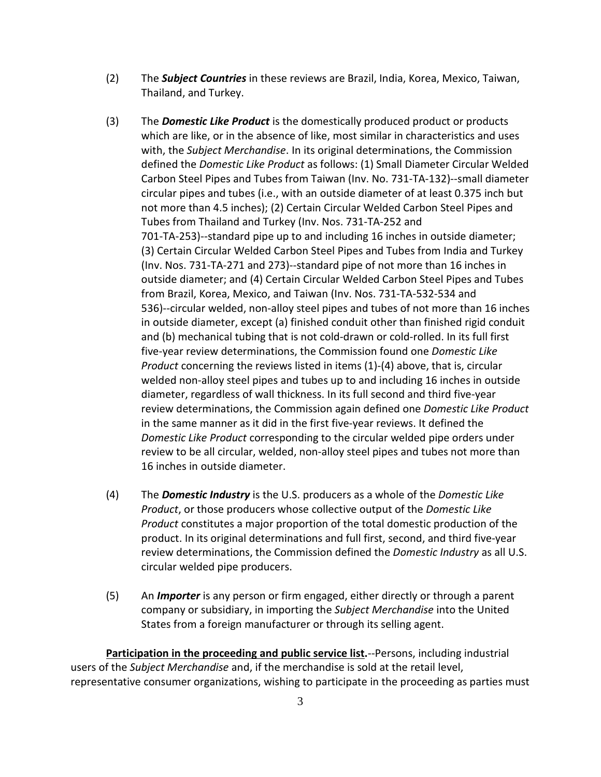- (2) The *Subject Countries* in these reviews are Brazil, India, Korea, Mexico, Taiwan, Thailand, and Turkey.
- (3) The *Domestic Like Product* is the domestically produced product or products which are like, or in the absence of like, most similar in characteristics and uses with, the *Subject Merchandise*. In its original determinations, the Commission defined the *Domestic Like Product* as follows: (1) Small Diameter Circular Welded Carbon Steel Pipes and Tubes from Taiwan (Inv. No. 731-TA-132)--small diameter circular pipes and tubes (i.e., with an outside diameter of at least 0.375 inch but not more than 4.5 inches); (2) Certain Circular Welded Carbon Steel Pipes and Tubes from Thailand and Turkey (Inv. Nos. 731-TA-252 and 701-TA-253)--standard pipe up to and including 16 inches in outside diameter; (3) Certain Circular Welded Carbon Steel Pipes and Tubes from India and Turkey (Inv. Nos. 731-TA-271 and 273)--standard pipe of not more than 16 inches in outside diameter; and (4) Certain Circular Welded Carbon Steel Pipes and Tubes from Brazil, Korea, Mexico, and Taiwan (Inv. Nos. 731-TA-532-534 and 536)--circular welded, non-alloy steel pipes and tubes of not more than 16 inches in outside diameter, except (a) finished conduit other than finished rigid conduit and (b) mechanical tubing that is not cold-drawn or cold-rolled. In its full first five-year review determinations, the Commission found one *Domestic Like Product* concerning the reviews listed in items (1)-(4) above, that is, circular welded non-alloy steel pipes and tubes up to and including 16 inches in outside diameter, regardless of wall thickness. In its full second and third five-year review determinations, the Commission again defined one *Domestic Like Product* in the same manner as it did in the first five-year reviews. It defined the *Domestic Like Product* corresponding to the circular welded pipe orders under review to be all circular, welded, non-alloy steel pipes and tubes not more than 16 inches in outside diameter.
- (4) The *Domestic Industry* is the U.S. producers as a whole of the *Domestic Like Product*, or those producers whose collective output of the *Domestic Like Product* constitutes a major proportion of the total domestic production of the product. In its original determinations and full first, second, and third five-year review determinations, the Commission defined the *Domestic Industry* as all U.S. circular welded pipe producers.
- (5) An *Importer* is any person or firm engaged, either directly or through a parent company or subsidiary, in importing the *Subject Merchandise* into the United States from a foreign manufacturer or through its selling agent.

**Participation in the proceeding and public service list.**--Persons, including industrial users of the *Subject Merchandise* and, if the merchandise is sold at the retail level, representative consumer organizations, wishing to participate in the proceeding as parties must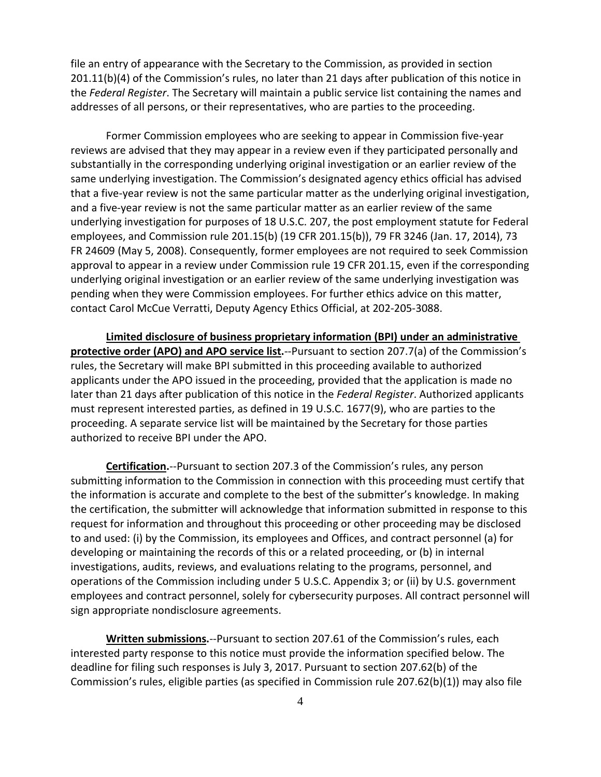file an entry of appearance with the Secretary to the Commission, as provided in section 201.11(b)(4) of the Commission's rules, no later than 21 days after publication of this notice in the *Federal Register*. The Secretary will maintain a public service list containing the names and addresses of all persons, or their representatives, who are parties to the proceeding.

Former Commission employees who are seeking to appear in Commission five-year reviews are advised that they may appear in a review even if they participated personally and substantially in the corresponding underlying original investigation or an earlier review of the same underlying investigation. The Commission's designated agency ethics official has advised that a five-year review is not the same particular matter as the underlying original investigation, and a five-year review is not the same particular matter as an earlier review of the same underlying investigation for purposes of 18 U.S.C. 207, the post employment statute for Federal employees, and Commission rule 201.15(b) (19 CFR 201.15(b)), 79 FR 3246 (Jan. 17, 2014), 73 FR 24609 (May 5, 2008). Consequently, former employees are not required to seek Commission approval to appear in a review under Commission rule 19 CFR 201.15, even if the corresponding underlying original investigation or an earlier review of the same underlying investigation was pending when they were Commission employees. For further ethics advice on this matter, contact Carol McCue Verratti, Deputy Agency Ethics Official, at 202-205-3088.

**Limited disclosure of business proprietary information (BPI) under an administrative protective order (APO) and APO service list.**--Pursuant to section 207.7(a) of the Commission's rules, the Secretary will make BPI submitted in this proceeding available to authorized applicants under the APO issued in the proceeding, provided that the application is made no later than 21 days after publication of this notice in the *Federal Register*. Authorized applicants must represent interested parties, as defined in 19 U.S.C. 1677(9), who are parties to the proceeding. A separate service list will be maintained by the Secretary for those parties authorized to receive BPI under the APO.

**Certification.**--Pursuant to section 207.3 of the Commission's rules, any person submitting information to the Commission in connection with this proceeding must certify that the information is accurate and complete to the best of the submitter's knowledge. In making the certification, the submitter will acknowledge that information submitted in response to this request for information and throughout this proceeding or other proceeding may be disclosed to and used: (i) by the Commission, its employees and Offices, and contract personnel (a) for developing or maintaining the records of this or a related proceeding, or (b) in internal investigations, audits, reviews, and evaluations relating to the programs, personnel, and operations of the Commission including under 5 U.S.C. Appendix 3; or (ii) by U.S. government employees and contract personnel, solely for cybersecurity purposes. All contract personnel will sign appropriate nondisclosure agreements.

**Written submissions.**--Pursuant to section 207.61 of the Commission's rules, each interested party response to this notice must provide the information specified below. The deadline for filing such responses is July 3, 2017. Pursuant to section 207.62(b) of the Commission's rules, eligible parties (as specified in Commission rule 207.62(b)(1)) may also file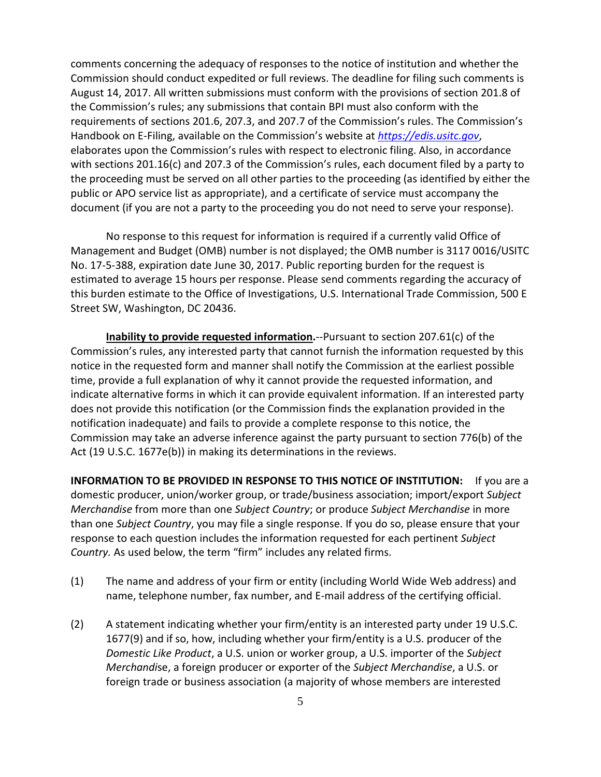comments concerning the adequacy of responses to the notice of institution and whether the Commission should conduct expedited or full reviews. The deadline for filing such comments is August 14, 2017. All written submissions must conform with the provisions of section 201.8 of the Commission's rules; any submissions that contain BPI must also conform with the requirements of sections 201.6, 207.3, and 207.7 of the Commission's rules. The Commission's Handbook on E-Filing, available on the Commission's website at *[https://edis.usitc.gov](https://edis.usitc.gov/)*, elaborates upon the Commission's rules with respect to electronic filing. Also, in accordance with sections 201.16(c) and 207.3 of the Commission's rules, each document filed by a party to the proceeding must be served on all other parties to the proceeding (as identified by either the public or APO service list as appropriate), and a certificate of service must accompany the document (if you are not a party to the proceeding you do not need to serve your response).

No response to this request for information is required if a currently valid Office of Management and Budget (OMB) number is not displayed; the OMB number is 3117 0016/USITC No. 17-5-388, expiration date June 30, 2017. Public reporting burden for the request is estimated to average 15 hours per response. Please send comments regarding the accuracy of this burden estimate to the Office of Investigations, U.S. International Trade Commission, 500 E Street SW, Washington, DC 20436.

**Inability to provide requested information.**--Pursuant to section 207.61(c) of the Commission's rules, any interested party that cannot furnish the information requested by this notice in the requested form and manner shall notify the Commission at the earliest possible time, provide a full explanation of why it cannot provide the requested information, and indicate alternative forms in which it can provide equivalent information. If an interested party does not provide this notification (or the Commission finds the explanation provided in the notification inadequate) and fails to provide a complete response to this notice, the Commission may take an adverse inference against the party pursuant to section 776(b) of the Act (19 U.S.C. 1677e(b)) in making its determinations in the reviews.

**INFORMATION TO BE PROVIDED IN RESPONSE TO THIS NOTICE OF INSTITUTION:** If you are a domestic producer, union/worker group, or trade/business association; import/export *Subject Merchandise* from more than one *Subject Country*; or produce *Subject Merchandise* in more than one *Subject Country*, you may file a single response. If you do so, please ensure that your response to each question includes the information requested for each pertinent *Subject Country.* As used below, the term "firm" includes any related firms.

- (1) The name and address of your firm or entity (including World Wide Web address) and name, telephone number, fax number, and E-mail address of the certifying official.
- (2) A statement indicating whether your firm/entity is an interested party under 19 U.S.C. 1677(9) and if so, how, including whether your firm/entity is a U.S. producer of the *Domestic Like Product*, a U.S. union or worker group, a U.S. importer of the *Subject Merchandi*se, a foreign producer or exporter of the *Subject Merchandise*, a U.S. or foreign trade or business association (a majority of whose members are interested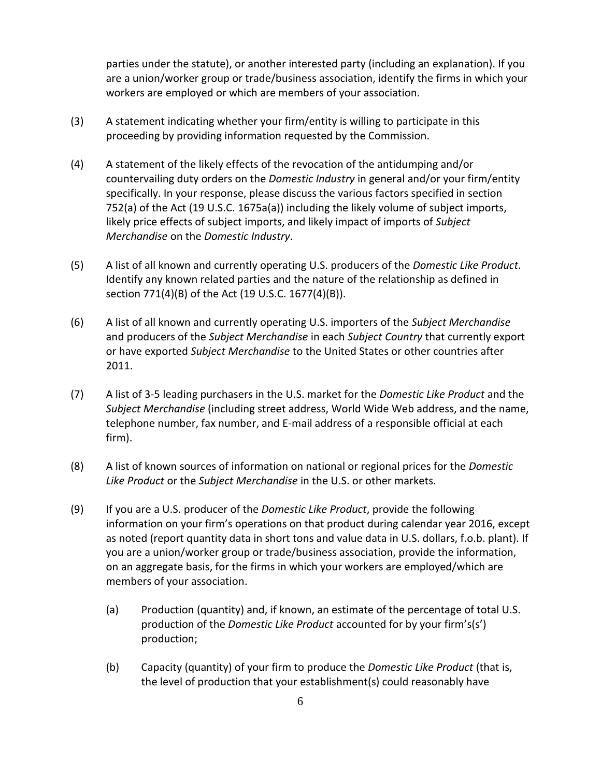parties under the statute), or another interested party (including an explanation). If you are a union/worker group or trade/business association, identify the firms in which your workers are employed or which are members of your association.

- (3) A statement indicating whether your firm/entity is willing to participate in this proceeding by providing information requested by the Commission.
- (4) A statement of the likely effects of the revocation of the antidumping and/or countervailing duty orders on the *Domestic Industry* in general and/or your firm/entity specifically. In your response, please discuss the various factors specified in section 752(a) of the Act (19 U.S.C. 1675a(a)) including the likely volume of subject imports, likely price effects of subject imports, and likely impact of imports of *Subject Merchandise* on the *Domestic Industry*.
- (5) A list of all known and currently operating U.S. producers of the *Domestic Like Product*. Identify any known related parties and the nature of the relationship as defined in section 771(4)(B) of the Act (19 U.S.C. 1677(4)(B)).
- (6) A list of all known and currently operating U.S. importers of the *Subject Merchandise* and producers of the *Subject Merchandise* in each *Subject Country* that currently export or have exported *Subject Merchandise* to the United States or other countries after 2011.
- (7) A list of 3-5 leading purchasers in the U.S. market for the *Domestic Like Product* and the *Subject Merchandise* (including street address, World Wide Web address, and the name, telephone number, fax number, and E-mail address of a responsible official at each firm).
- (8) A list of known sources of information on national or regional prices for the *Domestic Like Product* or the *Subject Merchandise* in the U.S. or other markets.
- (9) If you are a U.S. producer of the *Domestic Like Product*, provide the following information on your firm's operations on that product during calendar year 2016, except as noted (report quantity data in short tons and value data in U.S. dollars, f.o.b. plant). If you are a union/worker group or trade/business association, provide the information, on an aggregate basis, for the firms in which your workers are employed/which are members of your association.
	- (a) Production (quantity) and, if known, an estimate of the percentage of total U.S. production of the *Domestic Like Product* accounted for by your firm's(s') production;
	- (b) Capacity (quantity) of your firm to produce the *Domestic Like Product* (that is, the level of production that your establishment(s) could reasonably have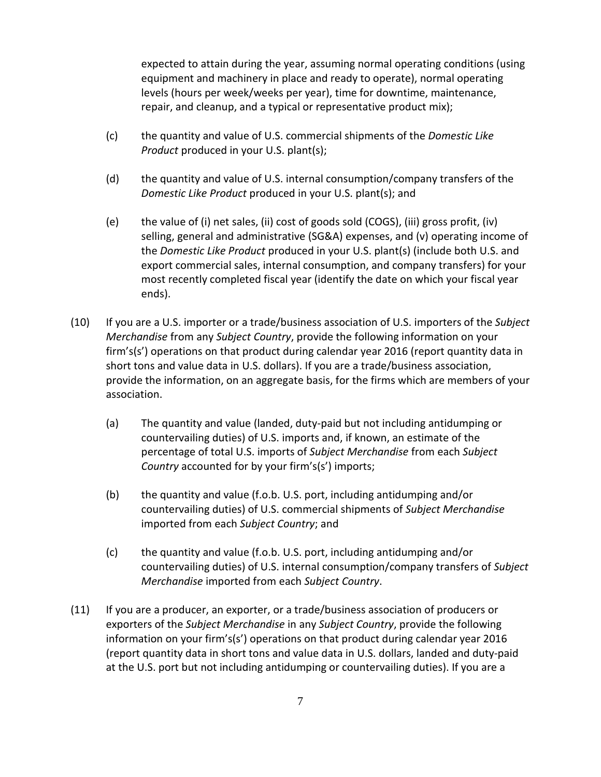expected to attain during the year, assuming normal operating conditions (using equipment and machinery in place and ready to operate), normal operating levels (hours per week/weeks per year), time for downtime, maintenance, repair, and cleanup, and a typical or representative product mix);

- (c) the quantity and value of U.S. commercial shipments of the *Domestic Like Product* produced in your U.S. plant(s);
- (d) the quantity and value of U.S. internal consumption/company transfers of the *Domestic Like Product* produced in your U.S. plant(s); and
- (e) the value of (i) net sales, (ii) cost of goods sold (COGS), (iii) gross profit, (iv) selling, general and administrative (SG&A) expenses, and (v) operating income of the *Domestic Like Product* produced in your U.S. plant(s) (include both U.S. and export commercial sales, internal consumption, and company transfers) for your most recently completed fiscal year (identify the date on which your fiscal year ends).
- (10) If you are a U.S. importer or a trade/business association of U.S. importers of the *Subject Merchandise* from any *Subject Country*, provide the following information on your firm's(s') operations on that product during calendar year 2016 (report quantity data in short tons and value data in U.S. dollars). If you are a trade/business association, provide the information, on an aggregate basis, for the firms which are members of your association.
	- (a) The quantity and value (landed, duty-paid but not including antidumping or countervailing duties) of U.S. imports and, if known, an estimate of the percentage of total U.S. imports of *Subject Merchandise* from each *Subject Country* accounted for by your firm's(s') imports;
	- (b) the quantity and value (f.o.b. U.S. port, including antidumping and/or countervailing duties) of U.S. commercial shipments of *Subject Merchandise* imported from each *Subject Country*; and
	- (c) the quantity and value (f.o.b. U.S. port, including antidumping and/or countervailing duties) of U.S. internal consumption/company transfers of *Subject Merchandise* imported from each *Subject Country*.
- (11) If you are a producer, an exporter, or a trade/business association of producers or exporters of the *Subject Merchandise* in any *Subject Country*, provide the following information on your firm's(s') operations on that product during calendar year 2016 (report quantity data in short tons and value data in U.S. dollars, landed and duty-paid at the U.S. port but not including antidumping or countervailing duties). If you are a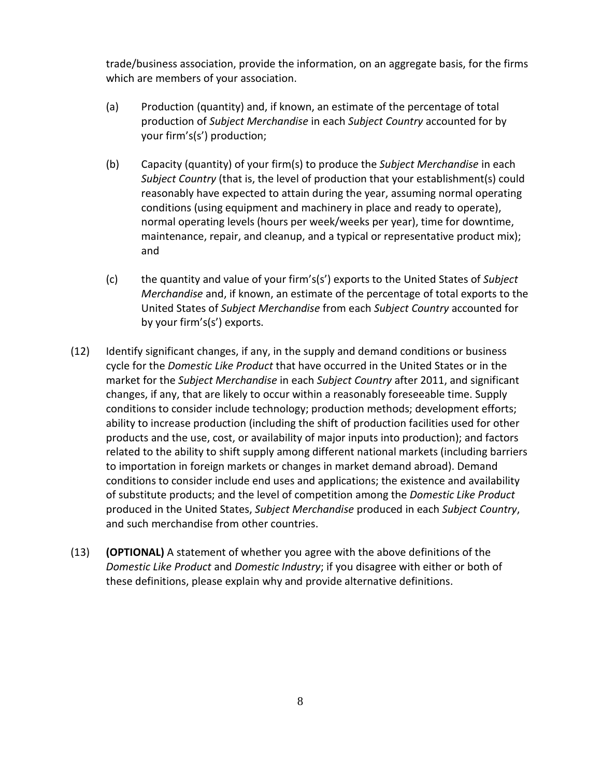trade/business association, provide the information, on an aggregate basis, for the firms which are members of your association.

- (a) Production (quantity) and, if known, an estimate of the percentage of total production of *Subject Merchandise* in each *Subject Country* accounted for by your firm's(s') production;
- (b) Capacity (quantity) of your firm(s) to produce the *Subject Merchandise* in each *Subject Country* (that is, the level of production that your establishment(s) could reasonably have expected to attain during the year, assuming normal operating conditions (using equipment and machinery in place and ready to operate), normal operating levels (hours per week/weeks per year), time for downtime, maintenance, repair, and cleanup, and a typical or representative product mix); and
- (c) the quantity and value of your firm's(s') exports to the United States of *Subject Merchandise* and, if known, an estimate of the percentage of total exports to the United States of *Subject Merchandise* from each *Subject Country* accounted for by your firm's(s') exports.
- (12) Identify significant changes, if any, in the supply and demand conditions or business cycle for the *Domestic Like Product* that have occurred in the United States or in the market for the *Subject Merchandise* in each *Subject Country* after 2011, and significant changes, if any, that are likely to occur within a reasonably foreseeable time. Supply conditions to consider include technology; production methods; development efforts; ability to increase production (including the shift of production facilities used for other products and the use, cost, or availability of major inputs into production); and factors related to the ability to shift supply among different national markets (including barriers to importation in foreign markets or changes in market demand abroad). Demand conditions to consider include end uses and applications; the existence and availability of substitute products; and the level of competition among the *Domestic Like Product* produced in the United States, *Subject Merchandise* produced in each *Subject Country*, and such merchandise from other countries.
- (13) **(OPTIONAL)** A statement of whether you agree with the above definitions of the *Domestic Like Product* and *Domestic Industry*; if you disagree with either or both of these definitions, please explain why and provide alternative definitions.